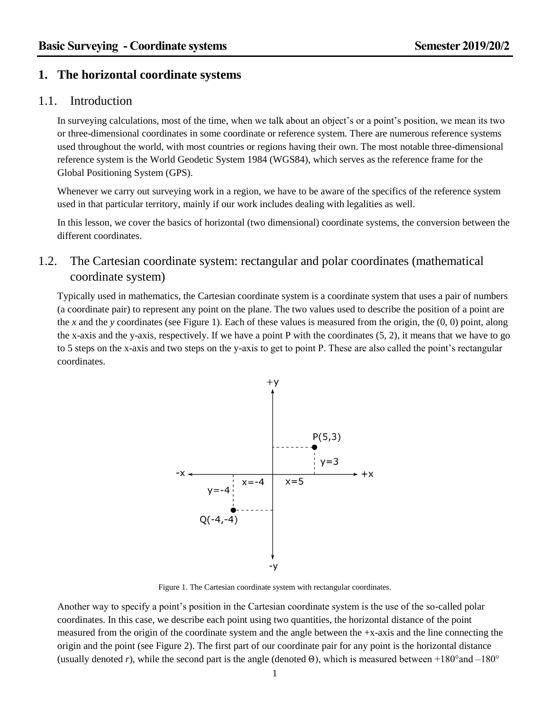### **1. The horizontal coordinate systems**

### 1.1. Introduction

In surveying calculations, most of the time, when we talk about an object's or a point's position, we mean its two or three-dimensional coordinates in some coordinate or reference system. There are numerous reference systems used throughout the world, with most countries or regions having their own. The most notable three-dimensional reference system is the World Geodetic System 1984 (WGS84), which serves as the reference frame for the Global Positioning System (GPS).

Whenever we carry out surveying work in a region, we have to be aware of the specifics of the reference system used in that particular territory, mainly if our work includes dealing with legalities as well.

In this lesson, we cover the basics of horizontal (two dimensional) coordinate systems, the conversion between the different coordinates.

# 1.2. The Cartesian coordinate system: rectangular and polar coordinates (mathematical coordinate system)

Typically used in mathematics, the Cartesian coordinate system is a coordinate system that uses a pair of numbers (a coordinate pair) to represent any point on the plane. The two values used to describe the position of a point are the *x* and the *y* coordinates (see [Figure 1\)](#page-0-0). Each of these values is measured from the origin, the (0, 0) point, along the x-axis and the y-axis, respectively. If we have a point P with the coordinates (5, 2), it means that we have to go to 5 steps on the x-axis and two steps on the y-axis to get to point P. These are also called the point's rectangular coordinates.



Figure 1. The Cartesian coordinate system with rectangular coordinates.

<span id="page-0-0"></span>Another way to specify a point's position in the Cartesian coordinate system is the use of the so-called polar coordinates. In this case, we describe each point using two quantities, the horizontal distance of the point measured from the origin of the coordinate system and the angle between the +x-axis and the line connecting the origin and the point (see [Figure 2\)](#page-1-0). The first part of our coordinate pair for any point is the horizontal distance (usually denoted *r*), while the second part is the angle (denoted  $\Theta$ ), which is measured between +180° and -180°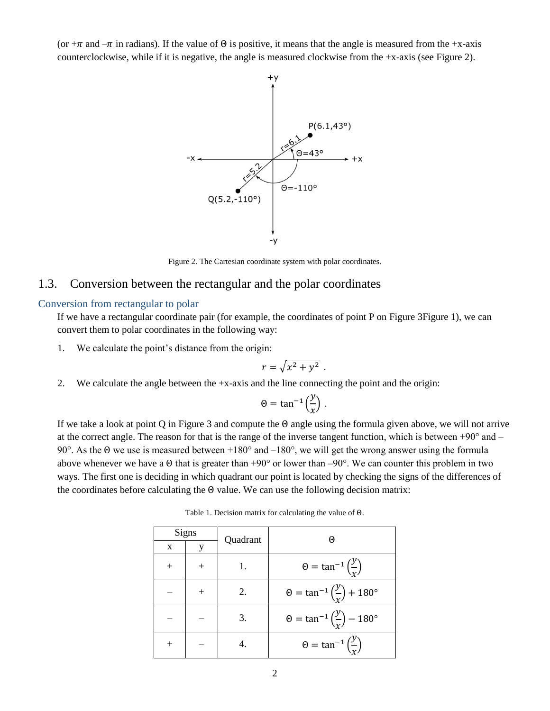(or  $+\pi$  and  $-\pi$  in radians). If the value of  $\Theta$  is positive, it means that the angle is measured from the +x-axis counterclockwise, while if it is negative, the angle is measured clockwise from the +x-axis (se[e Figure 2\)](#page-1-0).



Figure 2. The Cartesian coordinate system with polar coordinates.

### <span id="page-1-0"></span>1.3. Conversion between the rectangular and the polar coordinates

#### <span id="page-1-1"></span>Conversion from rectangular to polar

If we have a rectangular coordinate pair (for example, the coordinates of point P on [Figure 3Figure 1\)](#page-2-0), we can convert them to polar coordinates in the following way:

1. We calculate the point's distance from the origin:

$$
r=\sqrt{x^2+y^2}.
$$

2. We calculate the angle between the +x-axis and the line connecting the point and the origin:

$$
\Theta = \tan^{-1}\left(\frac{y}{x}\right) \, .
$$

If we take a look at point Q in [Figure 3](#page-2-0) and compute the Θ angle using the formula given above, we will not arrive at the correct angle. The reason for that is the range of the inverse tangent function, which is between  $+90^{\circ}$  and  $-$ 90°. As the Θ we use is measured between +180° and –180°, we will get the wrong answer using the formula above whenever we have a  $\Theta$  that is greater than +90° or lower than -90°. We can counter this problem in two ways. The first one is deciding in which quadrant our point is located by checking the signs of the differences of the coordinates before calculating the  $\Theta$  value. We can use the following decision matrix:

Table 1. Decision matrix for calculating the value of Θ.

| Signs |  | Quadrant | $(\cdot)$                                                     |
|-------|--|----------|---------------------------------------------------------------|
| X     |  |          |                                                               |
|       |  |          | $\Theta = \tan^{-1}\left(\frac{y}{r}\right)$                  |
|       |  | 2.       | $\theta = \tan^{-1} \left( \frac{y}{r} \right) + 180^{\circ}$ |
|       |  | 3.       | $\theta = \tan^{-1} \left( \frac{y}{x} \right) - 180^{\circ}$ |
|       |  |          | $\theta = \tan^{-1}\left(\frac{y}{x}\right)$                  |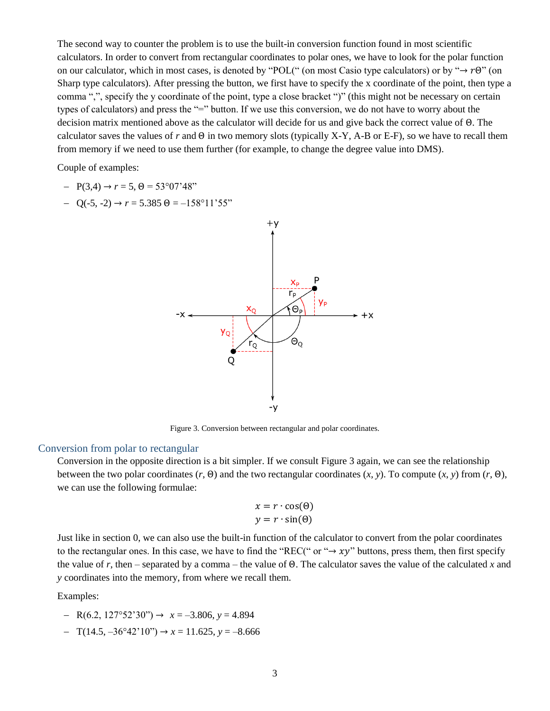The second way to counter the problem is to use the built-in conversion function found in most scientific calculators. In order to convert from rectangular coordinates to polar ones, we have to look for the polar function on our calculator, which in most cases, is denoted by "POL(" (on most Casio type calculators) or by " $\rightarrow$   $r\Theta$ " (on Sharp type calculators). After pressing the button, we first have to specify the x coordinate of the point, then type a comma ",", specify the y coordinate of the point, type a close bracket ")" (this might not be necessary on certain types of calculators) and press the "=" button. If we use this conversion, we do not have to worry about the decision matrix mentioned above as the calculator will decide for us and give back the correct value of Θ. The calculator saves the values of *r* and Θ in two memory slots (typically X-Y, A-B or E-F), so we have to recall them from memory if we need to use them further (for example, to change the degree value into DMS).

Couple of examples:

- $P(3,4) \rightarrow r = 5, \Theta = 53^{\circ}07'48"$
- $-$  O(-5, -2)  $\rightarrow r = 5.385 \space \Theta = -158^{\circ}11'55"$



Figure 3. Conversion between rectangular and polar coordinates.

#### <span id="page-2-0"></span>Conversion from polar to rectangular

Conversion in the opposite direction is a bit simpler. If we consult [Figure 3](#page-2-0) again, we can see the relationship between the two polar coordinates (*r*, Θ) and the two rectangular coordinates (*x*, *y*). To compute (*x*, *y*) from (*r*, Θ), we can use the following formulae:

$$
x = r \cdot \cos(\theta)
$$

$$
y = r \cdot \sin(\theta)
$$

Just like in section [0,](#page-1-1) we can also use the built-in function of the calculator to convert from the polar coordinates to the rectangular ones. In this case, we have to find the "REC(" or " $\rightarrow xy$ " buttons, press them, then first specify the value of *r*, then – separated by a comma – the value of Θ. The calculator saves the value of the calculated *x* and *y* coordinates into the memory, from where we recall them.

Examples:

- $-$  R(6.2, 127°52'30")  $\rightarrow x = -3.806, y = 4.894$
- $-$  T(14.5,  $-36^{\circ}42'10''$ )  $\rightarrow x = 11.625$ ,  $y = -8.666$